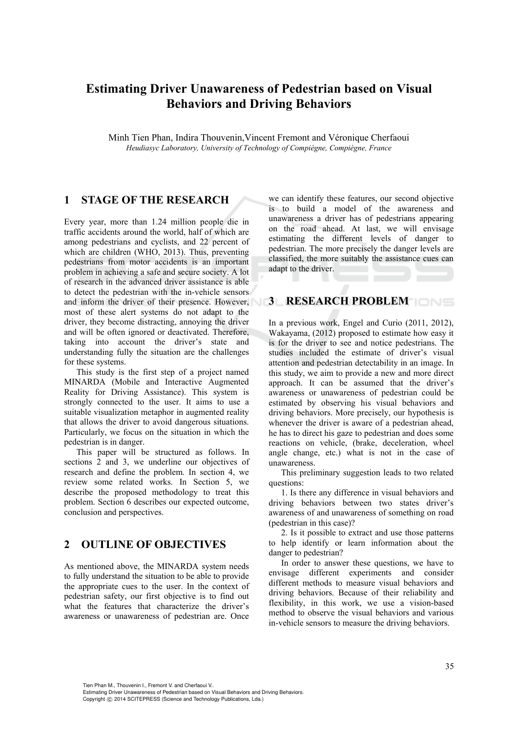# **Estimating Driver Unawareness of Pedestrian based on Visual Behaviors and Driving Behaviors**

Minh Tien Phan, Indira Thouvenin,Vincent Fremont and Véronique Cherfaoui *Heudiasyc Laboratory, University of Technology of Compiègne, Compiègne, France* 

## **1 STAGE OF THE RESEARCH**

Every year, more than 1.24 million people die in traffic accidents around the world, half of which are among pedestrians and cyclists, and 22 percent of which are children (WHO, 2013). Thus, preventing pedestrians from motor accidents is an important problem in achieving a safe and secure society. A lot of research in the advanced driver assistance is able to detect the pedestrian with the in-vehicle sensors and inform the driver of their presence. However, most of these alert systems do not adapt to the driver, they become distracting, annoying the driver and will be often ignored or deactivated. Therefore, taking into account the driver's state and understanding fully the situation are the challenges for these systems.

This study is the first step of a project named MINARDA (Mobile and Interactive Augmented Reality for Driving Assistance). This system is strongly connected to the user. It aims to use a suitable visualization metaphor in augmented reality that allows the driver to avoid dangerous situations. Particularly, we focus on the situation in which the pedestrian is in danger.

This paper will be structured as follows. In sections 2 and 3, we underline our objectives of research and define the problem. In section 4, we review some related works. In Section 5, we describe the proposed methodology to treat this problem. Section 6 describes our expected outcome, conclusion and perspectives.

#### **2 OUTLINE OF OBJECTIVES**

As mentioned above, the MINARDA system needs to fully understand the situation to be able to provide the appropriate cues to the user. In the context of pedestrian safety, our first objective is to find out what the features that characterize the driver's awareness or unawareness of pedestrian are. Once

we can identify these features, our second objective is to build a model of the awareness and unawareness a driver has of pedestrians appearing on the road ahead. At last, we will envisage estimating the different levels of danger to pedestrian. The more precisely the danger levels are classified, the more suitably the assistance cues can adapt to the driver.

# **3 RESEARCH PROBLEM**

In a previous work, Engel and Curio (2011, 2012), Wakayama, (2012) proposed to estimate how easy it is for the driver to see and notice pedestrians. The studies included the estimate of driver's visual attention and pedestrian detectability in an image. In this study, we aim to provide a new and more direct approach. It can be assumed that the driver's awareness or unawareness of pedestrian could be estimated by observing his visual behaviors and driving behaviors. More precisely, our hypothesis is whenever the driver is aware of a pedestrian ahead, he has to direct his gaze to pedestrian and does some reactions on vehicle, (brake, deceleration, wheel angle change, etc.) what is not in the case of unawareness.

This preliminary suggestion leads to two related questions:

1. Is there any difference in visual behaviors and driving behaviors between two states driver's awareness of and unawareness of something on road (pedestrian in this case)?

2. Is it possible to extract and use those patterns to help identify or learn information about the danger to pedestrian?

In order to answer these questions, we have to envisage different experiments and consider different methods to measure visual behaviors and driving behaviors. Because of their reliability and flexibility, in this work, we use a vision-based method to observe the visual behaviors and various in-vehicle sensors to measure the driving behaviors.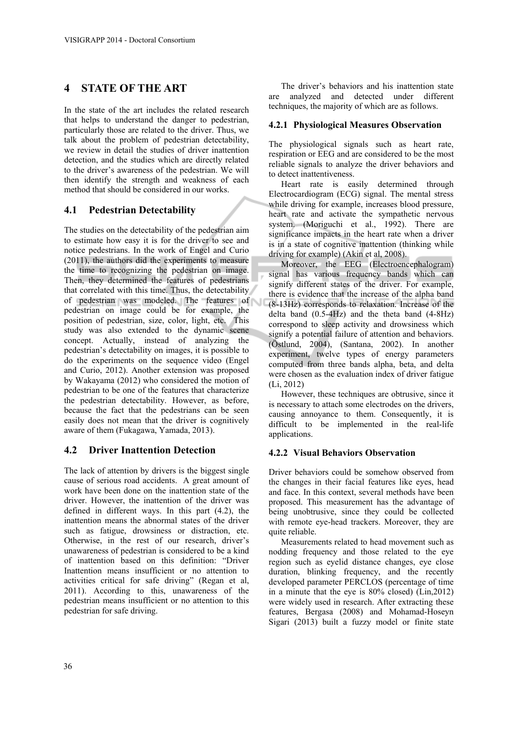# **4 STATE OF THE ART**

In the state of the art includes the related research that helps to understand the danger to pedestrian, particularly those are related to the driver. Thus, we talk about the problem of pedestrian detectability, we review in detail the studies of driver inattention detection, and the studies which are directly related to the driver's awareness of the pedestrian. We will then identify the strength and weakness of each method that should be considered in our works.

# **4.1 Pedestrian Detectability**

The studies on the detectability of the pedestrian aim to estimate how easy it is for the driver to see and notice pedestrians. In the work of Engel and Curio (2011), the authors did the experiments to measure the time to recognizing the pedestrian on image. Then, they determined the features of pedestrians that correlated with this time. Thus, the detectability of pedestrian was modeled. The features of pedestrian on image could be for example, the position of pedestrian, size, color, light, etc. This study was also extended to the dynamic scene concept. Actually, instead of analyzing the pedestrian's detectability on images, it is possible to do the experiments on the sequence video (Engel and Curio, 2012). Another extension was proposed by Wakayama (2012) who considered the motion of pedestrian to be one of the features that characterize the pedestrian detectability. However, as before, because the fact that the pedestrians can be seen easily does not mean that the driver is cognitively aware of them (Fukagawa, Yamada, 2013).

# **4.2 Driver Inattention Detection**

The lack of attention by drivers is the biggest single cause of serious road accidents. A great amount of work have been done on the inattention state of the driver. However, the inattention of the driver was defined in different ways. In this part (4.2), the inattention means the abnormal states of the driver such as fatigue, drowsiness or distraction, etc. Otherwise, in the rest of our research, driver's unawareness of pedestrian is considered to be a kind of inattention based on this definition: "Driver Inattention means insufficient or no attention to activities critical for safe driving" (Regan et al, 2011). According to this, unawareness of the pedestrian means insufficient or no attention to this pedestrian for safe driving.

The driver's behaviors and his inattention state are analyzed and detected under different techniques, the majority of which are as follows.

### **4.2.1 Physiological Measures Observation**

The physiological signals such as heart rate, respiration or EEG and are considered to be the most reliable signals to analyze the driver behaviors and to detect inattentiveness.

Heart rate is easily determined through Electrocardiogram (ECG) signal. The mental stress while driving for example, increases blood pressure, heart rate and activate the sympathetic nervous system. (Moriguchi et al., 1992). There are significance impacts in the heart rate when a driver is in a state of cognitive inattention (thinking while driving for example) (Akin et al, 2008).

Moreover, the EEG (Electroencephalogram) signal has various frequency bands which can signify different states of the driver. For example, there is evidence that the increase of the alpha band (8-13Hz) corresponds to relaxation. Increase of the delta band  $(0.5-4Hz)$  and the theta band  $(4-8Hz)$ correspond to sleep activity and drowsiness which signify a potential failure of attention and behaviors. (Östlund, 2004), (Santana, 2002). In another experiment, twelve types of energy parameters computed from three bands alpha, beta, and delta were chosen as the evaluation index of driver fatigue (Li, 2012)

However, these techniques are obtrusive, since it is necessary to attach some electrodes on the drivers, causing annoyance to them. Consequently, it is difficult to be implemented in the real-life applications.

## **4.2.2 Visual Behaviors Observation**

Driver behaviors could be somehow observed from the changes in their facial features like eyes, head and face. In this context, several methods have been proposed. This measurement has the advantage of being unobtrusive, since they could be collected with remote eye-head trackers. Moreover, they are quite reliable.

Measurements related to head movement such as nodding frequency and those related to the eye region such as eyelid distance changes, eye close duration, blinking frequency, and the recently developed parameter PERCLOS (percentage of time in a minute that the eye is 80% closed) (Lin,2012) were widely used in research. After extracting these features, Bergasa (2008) and Mohamad-Hoseyn Sigari (2013) built a fuzzy model or finite state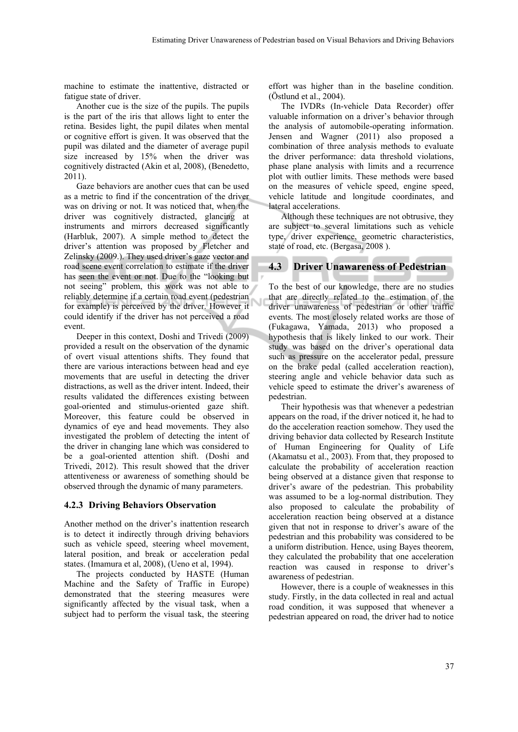machine to estimate the inattentive, distracted or fatigue state of driver.

Another cue is the size of the pupils. The pupils is the part of the iris that allows light to enter the retina. Besides light, the pupil dilates when mental or cognitive effort is given. It was observed that the pupil was dilated and the diameter of average pupil size increased by 15% when the driver was cognitively distracted (Akin et al, 2008), (Benedetto, 2011).

Gaze behaviors are another cues that can be used as a metric to find if the concentration of the driver was on driving or not. It was noticed that, when the driver was cognitively distracted, glancing at instruments and mirrors decreased significantly (Harbluk, 2007). A simple method to detect the driver's attention was proposed by Fletcher and Zelinsky (2009.). They used driver's gaze vector and road scene event correlation to estimate if the driver has seen the event or not. Due to the "looking but not seeing" problem, this work was not able to reliably determine if a certain road event (pedestrian for example) is perceived by the driver. However it could identify if the driver has not perceived a road event.

Deeper in this context, Doshi and Trivedi (2009) provided a result on the observation of the dynamic of overt visual attentions shifts. They found that there are various interactions between head and eye movements that are useful in detecting the driver distractions, as well as the driver intent. Indeed, their results validated the differences existing between goal-oriented and stimulus-oriented gaze shift. Moreover, this feature could be observed in dynamics of eye and head movements. They also investigated the problem of detecting the intent of the driver in changing lane which was considered to be a goal-oriented attention shift. (Doshi and Trivedi, 2012). This result showed that the driver attentiveness or awareness of something should be observed through the dynamic of many parameters.

#### **4.2.3 Driving Behaviors Observation**

Another method on the driver's inattention research is to detect it indirectly through driving behaviors such as vehicle speed, steering wheel movement, lateral position, and break or acceleration pedal states. (Imamura et al, 2008), (Ueno et al, 1994).

The projects conducted by HASTE (Human Machine and the Safety of Traffic in Europe) demonstrated that the steering measures were significantly affected by the visual task, when a subject had to perform the visual task, the steering

effort was higher than in the baseline condition. (Östlund et al., 2004).

The IVDRs (In-vehicle Data Recorder) offer valuable information on a driver's behavior through the analysis of automobile-operating information. Jensen and Wagner (2011) also proposed a combination of three analysis methods to evaluate the driver performance: data threshold violations, phase plane analysis with limits and a recurrence plot with outlier limits. These methods were based on the measures of vehicle speed, engine speed, vehicle latitude and longitude coordinates, and lateral accelerations.

Although these techniques are not obtrusive, they are subject to several limitations such as vehicle type, driver experience, geometric characteristics, state of road, etc. (Bergasa, 2008 ).

#### **4.3 Driver Unawareness of Pedestrian**

To the best of our knowledge, there are no studies that are directly related to the estimation of the driver unawareness of pedestrian or other traffic events. The most closely related works are those of (Fukagawa, Yamada, 2013) who proposed a hypothesis that is likely linked to our work. Their study was based on the driver's operational data such as pressure on the accelerator pedal, pressure on the brake pedal (called acceleration reaction), steering angle and vehicle behavior data such as vehicle speed to estimate the driver's awareness of pedestrian.

Their hypothesis was that whenever a pedestrian appears on the road, if the driver noticed it, he had to do the acceleration reaction somehow. They used the driving behavior data collected by Research Institute of Human Engineering for Quality of Life (Akamatsu et al., 2003). From that, they proposed to calculate the probability of acceleration reaction being observed at a distance given that response to driver's aware of the pedestrian. This probability was assumed to be a log-normal distribution. They also proposed to calculate the probability of acceleration reaction being observed at a distance given that not in response to driver's aware of the pedestrian and this probability was considered to be a uniform distribution. Hence, using Bayes theorem, they calculated the probability that one acceleration reaction was caused in response to driver's awareness of pedestrian.

However, there is a couple of weaknesses in this study. Firstly, in the data collected in real and actual road condition, it was supposed that whenever a pedestrian appeared on road, the driver had to notice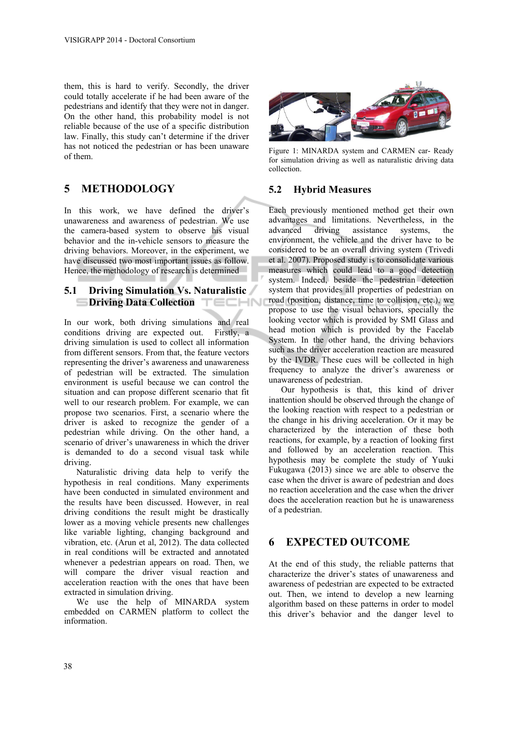them, this is hard to verify. Secondly, the driver could totally accelerate if he had been aware of the pedestrians and identify that they were not in danger. On the other hand, this probability model is not reliable because of the use of a specific distribution law. Finally, this study can't determine if the driver has not noticed the pedestrian or has been unaware of them.

# **5 METHODOLOGY**

In this work, we have defined the driver's unawareness and awareness of pedestrian. We use the camera-based system to observe his visual behavior and the in-vehicle sensors to measure the driving behaviors. Moreover, in the experiment, we have discussed two most important issues as follow. Hence, the methodology of research is determined

#### **5.1 Driving Simulation Vs. Naturalistic**   $\equiv$ **Driving Data Collection**

In our work, both driving simulations and real conditions driving are expected out. Firstly, a driving simulation is used to collect all information from different sensors. From that, the feature vectors representing the driver's awareness and unawareness of pedestrian will be extracted. The simulation environment is useful because we can control the situation and can propose different scenario that fit well to our research problem. For example, we can propose two scenarios. First, a scenario where the driver is asked to recognize the gender of a pedestrian while driving. On the other hand, a scenario of driver's unawareness in which the driver is demanded to do a second visual task while driving.

Naturalistic driving data help to verify the hypothesis in real conditions. Many experiments have been conducted in simulated environment and the results have been discussed. However, in real driving conditions the result might be drastically lower as a moving vehicle presents new challenges like variable lighting, changing background and vibration, etc. (Arun et al, 2012). The data collected in real conditions will be extracted and annotated whenever a pedestrian appears on road. Then, we will compare the driver visual reaction and acceleration reaction with the ones that have been extracted in simulation driving.

We use the help of MINARDA system embedded on CARMEN platform to collect the information.



Figure 1: MINARDA system and CARMEN car- Ready for simulation driving as well as naturalistic driving data collection.

#### **5.2 Hybrid Measures**

Each previously mentioned method get their own advantages and limitations. Nevertheless, in the advanced driving assistance systems, the environment, the vehicle and the driver have to be considered to be an overall driving system (Trivedi et al. 2007). Proposed study is to consolidate various measures which could lead to a good detection system. Indeed, beside the pedestrian detection system that provides all properties of pedestrian on road (position, distance, time to collision, etc.), we propose to use the visual behaviors, specially the looking vector which is provided by SMI Glass and head motion which is provided by the Facelab System. In the other hand, the driving behaviors such as the driver acceleration reaction are measured by the IVDR. These cues will be collected in high frequency to analyze the driver's awareness or unawareness of pedestrian.

Our hypothesis is that, this kind of driver inattention should be observed through the change of the looking reaction with respect to a pedestrian or the change in his driving acceleration. Or it may be characterized by the interaction of these both reactions, for example, by a reaction of looking first and followed by an acceleration reaction. This hypothesis may be complete the study of Yuuki Fukugawa (2013) since we are able to observe the case when the driver is aware of pedestrian and does no reaction acceleration and the case when the driver does the acceleration reaction but he is unawareness of a pedestrian.

## **6 EXPECTED OUTCOME**

At the end of this study, the reliable patterns that characterize the driver's states of unawareness and awareness of pedestrian are expected to be extracted out. Then, we intend to develop a new learning algorithm based on these patterns in order to model this driver's behavior and the danger level to